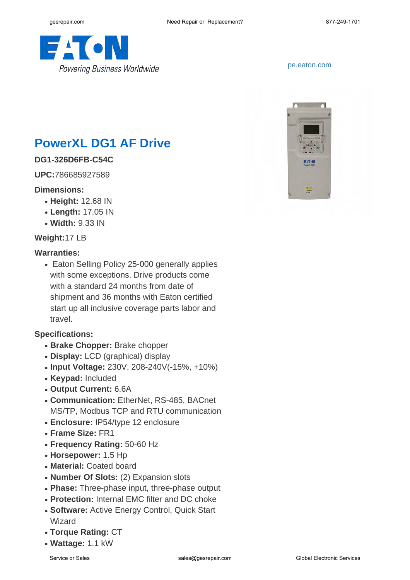

#### <pe.eaton.com>

# **PowerXL DG1 AF Drive**

### **DG1-326D6FB-C54C**

**UPC:**786685927589

#### **Dimensions:**

- **Height:** 12.68 IN
- **Length:** 17.05 IN
- **Width:** 9.33 IN

#### **Weight:**17 LB

#### **Warranties:**

• Eaton Selling Policy 25-000 generally applies with some exceptions. Drive products come with a standard 24 months from date of shipment and 36 months with Eaton certified start up all inclusive coverage parts labor and travel.

#### **Specifications:**

- **Brake Chopper:** Brake chopper
- **Display:** LCD (graphical) display
- **Input Voltage:** 230V, 208-240V(-15%, +10%)
- **Keypad:** Included
- **Output Current:** 6.6A
- **Communication: EtherNet, RS-485, BACnet** MS/TP, Modbus TCP and RTU communication
- **Enclosure:** IP54/type 12 enclosure
- **Frame Size:** FR1
- **Frequency Rating:** 50-60 Hz
- **Horsepower:** 1.5 Hp
- **Material: Coated board**
- **Number Of Slots:** (2) Expansion slots
- Phase: Three-phase input, three-phase output
- Protection: Internal EMC filter and DC choke
- Software: Active Energy Control, Quick Start Wizard
- **Torque Rating:** CT
- **Wattage:** 1.1 kW